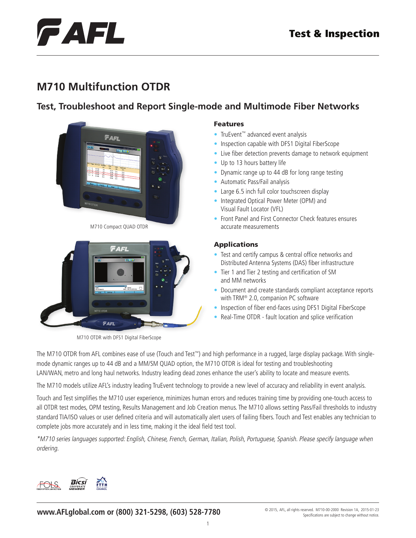

### **Test, Troubleshoot and Report Single-mode and Multimode Fiber Networks**





M710 OTDR with DFS1 Digital FiberScope

### Features

- TruEvent™ advanced event analysis
- Inspection capable with DFS1 Digital FiberScope
- Live fiber detection prevents damage to network equipment
- Up to 13 hours battery life
- Dynamic range up to 44 dB for long range testing
- Automatic Pass/Fail analysis
- Large 6.5 inch full color touchscreen display
- Integrated Optical Power Meter (OPM) and Visual Fault Locator (VFL)
- Front Panel and First Connector Check features ensures M710 Compact QUAD OTDR accurate measurements

### Applications

- Test and certify campus & central office networks and Distributed Antenna Systems (DAS) fiber infrastructure
- Tier 1 and Tier 2 testing and certification of SM and MM networks
- Document and create standards compliant acceptance reports with TRM® 2.0, companion PC software
- Inspection of fiber end-faces using DFS1 Digital FiberScope
- Real-Time OTDR fault location and splice verification

The M710 OTDR from AFL combines ease of use (Touch and Test™) and high performance in a rugged, large display package. With singlemode dynamic ranges up to 44 dB and a MM/SM QUAD option, the M710 OTDR is ideal for testing and troubleshooting LAN/WAN, metro and long haul networks. Industry leading dead zones enhance the user's ability to locate and measure events.

The M710 models utilize AFL's industry leading TruEvent technology to provide a new level of accuracy and reliability in event analysis.

Touch and Test simplifies the M710 user experience, minimizes human errors and reduces training time by providing one-touch access to all OTDR test modes, OPM testing, Results Management and Job Creation menus. The M710 allows setting Pass/Fail thresholds to industry standard TIA/ISO values or user defined criteria and will automatically alert users of failing fibers. Touch and Test enables any technician to complete jobs more accurately and in less time, making it the ideal field test tool.

\*M710 series languages supported: English, Chinese, French, German, Italian, Polish, Portuguese, Spanish. Please specify language when ordering.

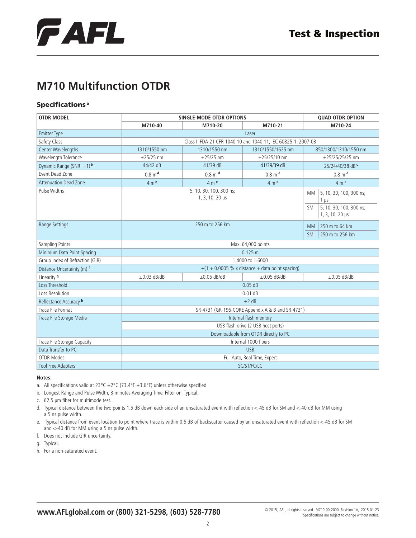

### **Specifications<sup>a</sup>**

| <b>OTDR MODEL</b>                       | <b>SINGLE-MODE OTDR OPTIONS</b>                                             |                                            |                              |                              | <b>QUAD OTDR OPTION</b>                                                            |  |
|-----------------------------------------|-----------------------------------------------------------------------------|--------------------------------------------|------------------------------|------------------------------|------------------------------------------------------------------------------------|--|
|                                         | M710-40                                                                     | M710-20                                    | M710-21                      |                              | M710-24                                                                            |  |
| <b>Emitter Type</b>                     | Laser                                                                       |                                            |                              |                              |                                                                                    |  |
| Safety Class                            | Class I FDA 21 CFR 1040.10 and 1040.11, IEC 60825-1: 2007-03                |                                            |                              |                              |                                                                                    |  |
| Center Wavelengths                      | 1310/1550 nm                                                                | 1310/1550 nm                               | 1310/1550/1625 nm            | 850/1300/1310/1550 nm        |                                                                                    |  |
| Wavelength Tolerance                    | $+25/25$ nm                                                                 | $+25/25$ nm                                | $+25/25/10$ nm               | $\pm$ 25/25/25/25 nm         |                                                                                    |  |
| Dynamic Range (SNR = $1$ ) <sup>b</sup> | 44/42 dB                                                                    | 41/39 dB                                   | 41/39/39 dB                  | 25/24/40/38 dB c             |                                                                                    |  |
| Event Dead Zone                         | 0.8 m <sup>d</sup>                                                          | $0.8 \text{ m}$ <sup>d</sup>               | $0.8 \text{ m}$ <sup>d</sup> | $0.8 \text{ m}$ <sup>d</sup> |                                                                                    |  |
| <b>Attenuation Dead Zone</b>            | 4 m <sup>e</sup>                                                            | 4 m <sup>e</sup>                           | 4 m <sup>e</sup>             |                              | 4 m <sup>e</sup>                                                                   |  |
| Pulse Widths                            |                                                                             | 5, 10, 30, 100, 300 ns;<br>1, 3, 10, 20 µs |                              | <b>MM</b><br><b>SM</b>       | 5, 10, 30, 100, 300 ns;<br>$1 \mu s$<br>5, 10, 30, 100, 300 ns;<br>1, 3, 10, 20 µs |  |
| Range Settings                          | 250 m to 256 km                                                             |                                            |                              | <b>MM</b><br><b>SM</b>       | 250 m to 64 km<br>250 m to 256 km                                                  |  |
| Sampling Points                         |                                                                             |                                            | Max. 64,000 points           |                              |                                                                                    |  |
| Minimum Data Point Spacing              | 0.125 m                                                                     |                                            |                              |                              |                                                                                    |  |
| Group Index of Refraction (GIR)         | 1.4000 to 1.6000                                                            |                                            |                              |                              |                                                                                    |  |
| Distance Uncertainty (m) f              | $\pm$ (1 + 0.0005 % x distance + data point spacing)                        |                                            |                              |                              |                                                                                    |  |
| Linearity <sup>9</sup>                  | $\pm 0.03$ dB/dB                                                            | $\pm 0.05$ dB/dB                           | $\pm 0.05$ dB/dB             |                              | $\pm 0.05$ dB/dB                                                                   |  |
| Loss Threshold                          | $0.05$ dB                                                                   |                                            |                              |                              |                                                                                    |  |
| Loss Resolution                         | $0.01$ dB                                                                   |                                            |                              |                              |                                                                                    |  |
| Reflectance Accuracy h                  | $+2$ dB                                                                     |                                            |                              |                              |                                                                                    |  |
| Trace File Format                       | SR-4731 (GR-196-CORE Appendix A & B and SR-4731)                            |                                            |                              |                              |                                                                                    |  |
| Trace File Storage Media                | Internal flash memory                                                       |                                            |                              |                              |                                                                                    |  |
|                                         | USB flash drive (2 USB host ports)<br>Downloadable from OTDR directly to PC |                                            |                              |                              |                                                                                    |  |
|                                         |                                                                             |                                            |                              |                              |                                                                                    |  |
| Trace File Storage Capacity             | Internal 1000 fibers                                                        |                                            |                              |                              |                                                                                    |  |
| Data Transfer to PC                     | <b>USB</b>                                                                  |                                            |                              |                              |                                                                                    |  |
| <b>OTDR Modes</b>                       | Full Auto, Real Time, Expert                                                |                                            |                              |                              |                                                                                    |  |
| <b>Tool Free Adapters</b>               | SC/ST/FC/LC                                                                 |                                            |                              |                              |                                                                                    |  |

#### **Notes:**

- a. All specifications valid at 23°C  $\pm$ 2°C (73.4°F  $\pm$ 3.6°F) unless otherwise specified.
- b. Longest Range and Pulse Width, 3 minutes Averaging Time, Filter on, Typical.

c. 62.5 µm fiber for multimode test.

- d. Typical distance between the two points 1.5 dB down each side of an unsaturated event with reflection <-45 dB for SM and <-40 dB for MM using a 5 ns pulse width.
- e. Typical distance from event location to point where trace is within 0.5 dB of backscatter caused by an unsaturated event with reflection <-45 dB for SM and <-40 dB for MM using a 5 ns pulse width.
- f. Does not include GIR uncertainty.
- g. Typical.
- h. For a non-saturated event.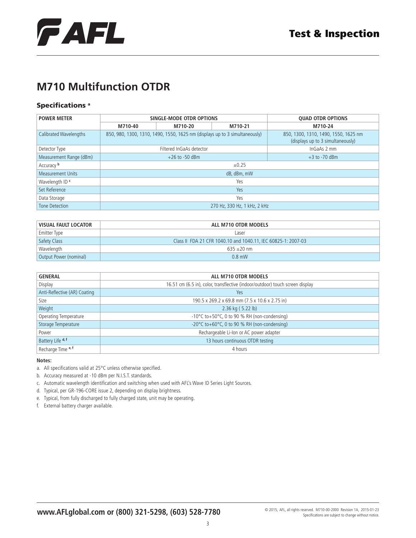#### Specifications<sup>a</sup>

| <b>POWER METER</b>         |                          | SINGLE-MODE OTDR OPTIONS                                                    | <b>QUAD OTDR OPTIONS</b>     |                                                                           |  |
|----------------------------|--------------------------|-----------------------------------------------------------------------------|------------------------------|---------------------------------------------------------------------------|--|
|                            | M710-40                  | M710-20                                                                     | M710-21                      | M710-24                                                                   |  |
| Calibrated Wavelengths     |                          | 850, 980, 1300, 1310, 1490, 1550, 1625 nm (displays up to 3 simultaneously) |                              | 850, 1300, 1310, 1490, 1550, 1625 nm<br>(displays up to 3 simultaneously) |  |
| Detector Type              | Filtered InGaAs detector |                                                                             |                              | InGaAs 2 mm                                                               |  |
| Measurement Range (dBm)    | $+26$ to $-50$ dBm       |                                                                             |                              | $+3$ to $-70$ dBm                                                         |  |
| Accuracy <b>b</b>          |                          |                                                                             | $\pm 0.25$                   |                                                                           |  |
| <b>Measurement Units</b>   | dB, dBm, mW              |                                                                             |                              |                                                                           |  |
| Wavelength ID <sup>c</sup> |                          |                                                                             | Yes                          |                                                                           |  |
| Set Reference              |                          |                                                                             | Yes                          |                                                                           |  |
| Data Storage               |                          |                                                                             | Yes                          |                                                                           |  |
| Tone Detection             |                          |                                                                             | 270 Hz, 330 Hz, 1 kHz, 2 kHz |                                                                           |  |

| VISUAL FAULT LOCATOR   | ALL M710 OTDR MODELS                                          |
|------------------------|---------------------------------------------------------------|
| Emitter Type           | Laser                                                         |
| Safety Class           | Class II FDA 21 CFR 1040.10 and 1040.11, IEC 60825-1: 2007-03 |
| Wavelength             | $635 + 20$ nm                                                 |
| Output Power (nominal) | $0.8$ mW                                                      |

| <b>GENERAL</b>               | ALL M710 OTDR MODELS                                                          |
|------------------------------|-------------------------------------------------------------------------------|
| Display                      | 16.51 cm (6.5 in), color, transflective (indoor/outdoor) touch screen display |
| Anti-Reflective (AR) Coating | Yes                                                                           |
| Size                         | 190.5 x 269.2 x 69.8 mm (7.5 x 10.6 x 2.75 in)                                |
| Weight                       | $2.36$ kg (5.22 lb)                                                           |
| Operating Temperature        | $-10^{\circ}$ C to $+50^{\circ}$ C, 0 to 90 % RH (non-condensing)             |
| Storage Temperature          | -20 $\degree$ C to+60 $\degree$ C, 0 to 90 % RH (non-condensing)              |
| Power                        | Rechargeable Li-Ion or AC power adapter                                       |
| Battery Life d, f            | 13 hours continuous OTDR testing                                              |
| Recharge Time e, f           | 4 hours                                                                       |

#### **Notes:**

a. All specifications valid at 25°C unless otherwise specified.

- b. Accuracy measured at -10 dBm per N.I.S.T. standards.
- c. Automatic wavelength identification and switching when used with AFL's Wave ID Series Light Sources.
- d. Typical, per GR-196-CORE issue 2, depending on display brightness.
- e. Typical, from fully discharged to fully charged state, unit may be operating.

f. External battery charger available.